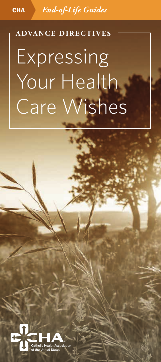CHA *End-of-Life Guides*

# **ADVANCE DIRECTIVES Expressing** Your Health Care Wishes

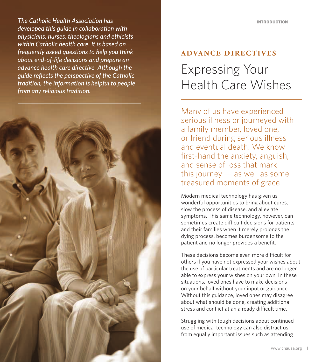Interval intervention and the calmonic medicines of the calmonic method in the calmonic method in the collaboration with  $d$  and  $d$  and  $d$  and  $d$  and  $d$  and  $d$  and  $d$  and  $d$  and  $d$  and  $d$  and  $d$  and  $d$  and  $d$  a *The Catholic Health Association has physicians, nurses, theologians and ethicists within Catholic health care. It is based on frequently asked questions to help you think about end-of-life decisions and prepare an advance health care directive. Although the guide reflects the perspective of the Catholic tradition, the information is helpful to people from any religious tradition.*



### **ADVANCE DIRECTIVES** Expressing Your Health Care Wishes

Many of us have experienced serious illness or journeyed with a family member, loved one, or friend during serious illness and eventual death. We know first-hand the anxiety, anguish, and sense of loss that mark this journey  $-$  as well as some treasured moments of grace.

Modern medical technology has given us wonderful opportunities to bring about cures, slow the process of disease, and alleviate symptoms. This same technology, however, can sometimes create difficult decisions for patients and their families when it merely prolongs the dying process, becomes burdensome to the patient and no longer provides a benefit.

These decisions become even more difficult for others if you have not expressed your wishes about the use of particular treatments and are no longer able to express your wishes on your own. In these situations, loved ones have to make decisions on your behalf without your input or guidance. Without this guidance, loved ones may disagree about what should be done, creating additional stress and conflict at an already difficult time.

Struggling with tough decisions about continued use of medical technology can also distract us from equally important issues such as attending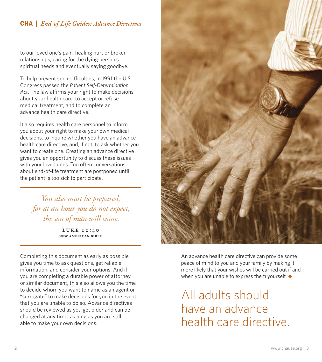to our loved one's pain, healing hurt or broken relationships, caring for the dying person's spiritual needs and eventually saying goodbye.

To help prevent such difficulties, in 1991 the U.S. Congress passed the *Patient Self-Determination Act*. The law affirms your right to make decisions about your health care, to accept or refuse medical treatment, and to complete an advance health care directive.

It also requires health care personnel to inform you about your right to make your own medical decisions, to inquire whether you have an advance health care directive, and, if not, to ask whether you want to create one. Creating an advance directive gives you an opportunity to discuss these issues with your loved ones. Too often conversations about end-of-life treatment are postponed until the patient is too sick to participate.

*You also must be prepared, for at an hour you do not expect, the son of man will come.*

> LUKE 12:40 New American Bible

Completing this document as early as possible gives you time to ask questions, get reliable information, and consider your options. And if you are completing a durable power of attorney or similar document, this also allows you the time to decide whom you want to name as an agent or "surrogate" to make decisions for you in the event that you are unable to do so. Advance directives should be reviewed as you get older and can be changed at any time, as long as you are still able to make your own decisions.



An advance health care directive can provide some peace of mind to you and your family by making it more likely that your wishes will be carried out if and when you are unable to express them yourself. *◆*

All adults should have an advance health care directive.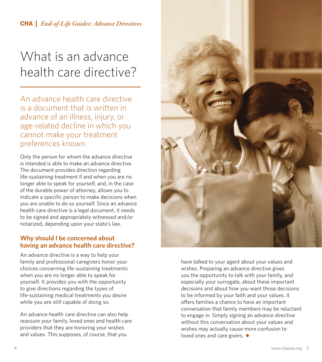**CHA** | *End-of-Life Guides: Advance Directives* 

### What is an advance health care directive?

An advance health care directive is a document that is written in advance of an illness, injury, or age-related decline in which you cannot make your treatment preferences known.

Only the person for whom the advance directive is intended is able to make an advance directive. The document provides direction regarding life-sustaining treatment if and when you are no longer able to speak for yourself, and, in the case of the durable power of attorney, allows you to indicate a specific person to make decisions when you are unable to do so yourself. Since an advance health care directive is a legal document, it needs to be signed and appropriately witnessed and/or notarized, depending upon your state's law.

### **Why should I be concerned about having an advance health care directive?**

An advance directive is a way to help your family and professional caregivers honor your choices concerning life-sustaining treatments when you are no longer able to speak for yourself. It provides you with the opportunity to give directions regarding the types of life-sustaining medical treatments you desire while you are still capable of doing so.

An advance health care directive can also help reassure your family, loved ones and health care providers that they are honoring your wishes and values. This supposes, of course, that you



have talked to your agent about your values and wishes. Preparing an advance directive gives you the opportunity to talk with your family, and especially your surrogate, about these important decisions and about how you want those decisions to be informed by your faith and your values. It offers families a chance to have an important conversation that family members may be reluctant to engage in. Simply signing an advance directive without this conversation about your values and wishes may actually cause more confusion to loved ones and care givers. *◆*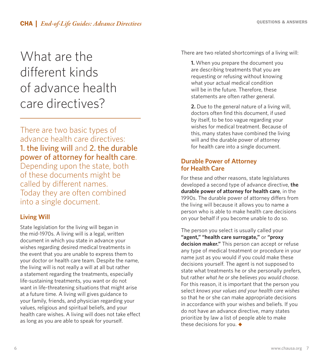### What are the different kinds of advance health care directives?

There are two basic types of advance health care directives: 1. the living will and 2. the durable power of attorney for health care. Depending upon the state, both

of these documents might be called by different names. Today they are often combined into a single document.

### **Living Will**

State legislation for the living will began in the mid-1970s. A living will is a legal, written document in which you state in advance your wishes regarding desired medical treatments in the event that you are unable to express them to your doctor or health care team. Despite the name, the living will is not really a will at all but rather a statement regarding the treatments, especially life-sustaining treatments, you want or do not want in life-threatening situations that might arise at a future time. A living will gives guidance to your family, friends, and physician regarding your values, religious and spiritual beliefs, and your health care wishes. A living will does not take effect as long as you are able to speak for yourself.

There are two related shortcomings of a living will:

**1.** When you prepare the document you are describing treatments that you are requesting or refusing without knowing what your actual medical condition will be in the future. Therefore, these statements are often rather general.

**2.** Due to the general nature of a living will, doctors often find this document, if used by itself, to be too vague regarding your wishes for medical treatment. Because of this, many states have combined the living will and the durable power of attorney for health care into a single document.

### **Durable Power of Attorney for Health Care**

For these and other reasons, state legislatures developed a second type of advance directive, **the durable power of attorney for health care**, in the 1990s. The durable power of attorney differs from the living will because it allows you to name a person who is able to make health care decisions on your behalf if you become unable to do so.

The person you select is usually called your **"agent," "health care surrogate,"** or **"proxy decision maker."** This person can accept or refuse any type of medical treatment or procedure in your name just as you would if you could make these decisions yourself. The agent is not supposed to state what treatments he or she personally prefers, but rather *what he or she believes you would choose*. For this reason, it is important that the person you select *knows your values and your health care wishes* so that he or she can make appropriate decisions in accordance with your wishes and beliefs. If you do not have an advance directive, many states prioritize by law a list of people able to make these decisions for you. *◆*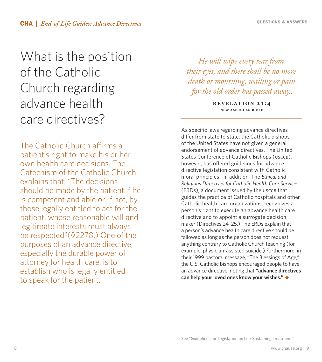### What is the position of the Catholic Church regarding advance health care directives?

The Catholic Church affirms a patient's right to make his or her own health care decisions. The Catechism of the Catholic Church explains that: "The decisions should be made by the patient if he is competent and able or, if not, by those legally entitled to act for the patient, whose reasonable will and legitimate interests must always be respected"(§2278.) One of the purposes of an advance directive, especially the durable power of attorney for health care, is to establish who is legally entitled to speak for the patient.

*He will wipe every tear from their eyes, and there shall be no more death or mourning, wailing or pain, for the old order has passed away..*

> Revelation 21:4 New American Bible

As specific laws regarding advance directives differ from state to state, the Catholic bishops of the United States have not given a general endorsement of advance directives. The United States Conference of Catholic Bishops (USCCB), however, has offered guidelines for advance directive legislation consistent with Catholic moral principles.† In addition, The *Ethical and Religious Directives for Catholic Health Care Services* (ERDs), a document issued by the USCCB that guides the practice of Catholic hospitals and other Catholic health care organizations, recognizes a person's right to execute an advance health care directive and to appoint a surrogate decision maker (Directives 24–25.) The ERDs explain that a person's advance health care directive should be followed as long as the person does not request anything contrary to Catholic Church teaching (for example, physician-assisted suicide.) Furthermore, in their 1999 pastoral message, "The Blessings of Age," the U.S. Catholic bishops encouraged people to have an advance directive, noting that **"advance directives can help your loved ones know your wishes."** *◆*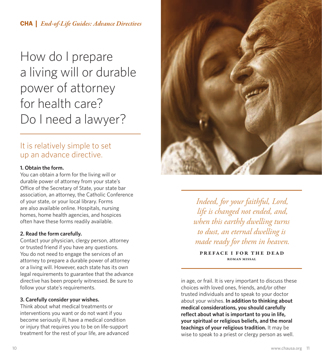How do I prepare a living will or durable power of attorney for health care? Do I need a lawyer?

### It is relatively simple to set up an advance directive.

### **1. Obtain the form.**

You can obtain a form for the living will or durable power of attorney from your state's Office of the Secretary of State, your state bar association, an attorney, the Catholic Conference of your state, or your local library. Forms are also available online. Hospitals, nursing homes, home health agencies, and hospices often have these forms readily available.

### **2. Read the form carefully.**

Contact your physician, clergy person, attorney or trusted friend if you have any questions. You do not need to engage the services of an attorney to prepare a durable power of attorney or a living will. However, each state has its own legal requirements to guarantee that the advance directive has been properly witnessed. Be sure to follow your state's requirements.

### **3. Carefully consider your wishes.**

Think about what medical treatments or interventions you want or do not want if you become seriously ill, have a medical condition or injury that requires you to be on life-support treatment for the rest of your life, are advanced



*Indeed, for your faithful, Lord, life is changed not ended, and, when this earthly dwelling turns to dust, an eternal dwelling is made ready for them in heaven.*

Preface I for the dead Roman Missal

in age, or frail. It is very important to discuss these choices with loved ones, friends, and/or other trusted individuals and to speak to your doctor about your wishes. **In addition to thinking about medical considerations, you should carefully reflect about what is important to you in life, your spiritual or religious beliefs, and the moral teachings of your religious tradition.** It may be wise to speak to a priest or clergy person as well.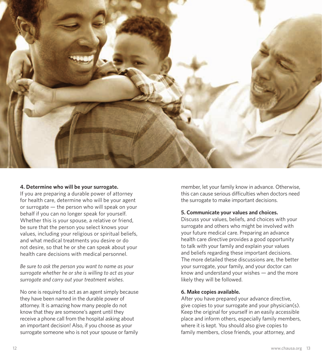

#### **4. Determine who will be your surrogate.**

If you are preparing a durable power of attorney for health care, determine who will be your agent or surrogate — the person who will speak on your behalf if you can no longer speak for yourself. Whether this is your spouse, a relative or friend, be sure that the person you select knows your values, including your religious or spiritual beliefs, and what medical treatments you desire or do not desire, so that he or she can speak about your health care decisions with medical personnel.

*Be sure to ask the person you want to name as your surrogate whether he or she is willing to act as your surrogate and carry out your treatment wishes*.

No one is required to act as an agent simply because they have been named in the durable power of attorney. It is amazing how many people do not know that they are someone's agent until they receive a phone call from the hospital asking about an important decision! Also, if you choose as your surrogate someone who is not your spouse or family member, let your family know in advance. Otherwise, this can cause serious difficulties when doctors need the surrogate to make important decisions.

#### **5. Communicate your values and choices.**

Discuss your values, beliefs, and choices with your surrogate and others who might be involved with your future medical care. Preparing an advance health care directive provides a good opportunity to talk with your family and explain your values and beliefs regarding these important decisions. The more detailed these discussions are, the better your surrogate, your family, and your doctor can know and understand your wishes — and the more likely they will be followed.

#### **6. Make copies available.**

After you have prepared your advance directive, give copies to your surrogate and your physician(s). Keep the original for yourself in an easily accessible place and inform others, especially family members, where it is kept. You should also give copies to family members, close friends, your attorney, and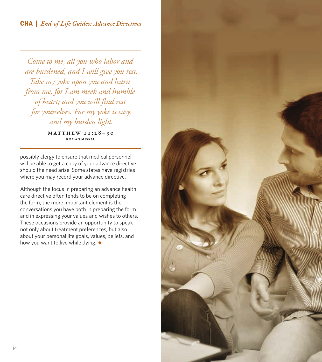*Come to me, all you who labor and are burdened, and I will give you rest. Take my yoke upon you and learn from me, for I am meek and humble of heart; and you will find rest for yourselves. For my yoke is easy, and my burden light.*

> $MATTHEW 11:28-30$ Roman Missal

possibly clergy to ensure that medical personnel will be able to get a copy of your advance directive should the need arise. Some states have registries where you may record your advance directive.

Although the focus in preparing an advance health care directive often tends to be on completing the form, the more important element is the conversations you have both in preparing the form and in expressing your values and wishes to others. These occasions provide an opportunity to speak not only about treatment preferences, but also about your personal life goals, values, beliefs, and how you want to live while dying. *◆*

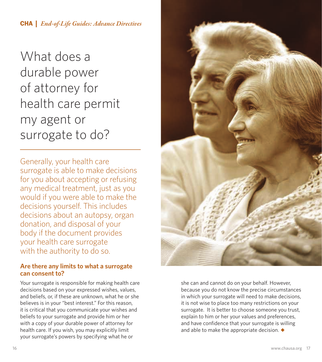What does a durable power of attorney for health care permit my agent or surrogate to do?

Generally, your health care surrogate is able to make decisions for you about accepting or refusing any medical treatment, just as you would if you were able to make the decisions yourself. This includes decisions about an autopsy, organ donation, and disposal of your body if the document provides your health care surrogate with the authority to do so.

### **Are there any limits to what a surrogate can consent to?**

Your surrogate is responsible for making health care decisions based on your expressed wishes, values, and beliefs, or, if these are unknown, what he or she believes is in your "best interest." For this reason, it is critical that you communicate your wishes and beliefs to your surrogate and provide him or her with a copy of your durable power of attorney for health care. If you wish, you may explicitly limit your surrogate's powers by specifying what he or



she can and cannot do on your behalf. However, because you do not know the precise circumstances in which your surrogate will need to make decisions, it is not wise to place too many restrictions on your surrogate. It is better to choose someone you trust, explain to him or her your values and preferences, and have confidence that your surrogate is willing and able to make the appropriate decision. *◆*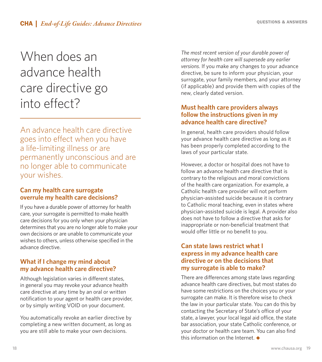## When does an advance health care directive go into effect?

An advance health care directive goes into effect when you have a life-limiting illness or are permanently unconscious and are no longer able to communicate your wishes.

### **Can my health care surrogate overrule my health care decisions?**

If you have a durable power of attorney for health care, your surrogate is permitted to make health care decisions for you only when your physician determines that you are no longer able to make your own decisions or are unable to communicate your wishes to others, unless otherwise specified in the advance directive.

### **What if I change my mind about my advance health care directive?**

Although legislation varies in different states, in general you may revoke your advance health care directive at any time by an oral or written notification to your agent or health care provider, or by simply writing VOID on your document.

You automatically revoke an earlier directive by completing a new written document, as long as you are still able to make your own decisions.

*The most recent version of your durable power of attorney for health care will supersede any earlier versions*. If you make any changes to your advance directive, be sure to inform your physician, your surrogate, your family members, and your attorney (if applicable) and provide them with copies of the new, clearly dated version.

### **Must health care providers always follow the instructions given in my advance health care directive?**

In general, health care providers should follow your advance health care directive as long as it has been properly completed according to the laws of your particular state.

However, a doctor or hospital does not have to follow an advance health care directive that is contrary to the religious and moral convictions of the health care organization. For example, a Catholic health care provider will not perform physician-assisted suicide because it is contrary to Catholic moral teaching, even in states where physician-assisted suicide is legal. A provider also does not have to follow a directive that asks for inappropriate or non-beneficial treatment that would offer little or no benefit to you.

### **Can state laws restrict what I express in my advance health care directive or on the decisions that my surrogate is able to make?**

There are differences among state laws regarding advance health care directives, but most states do have some restrictions on the choices you or your surrogate can make. It is therefore wise to check the law in your particular state. You can do this by contacting the Secretary of State's office of your state, a lawyer, your local legal aid office, the state bar association, your state Catholic conference, or your doctor or health care team. You can also find this information on the Internet. *◆*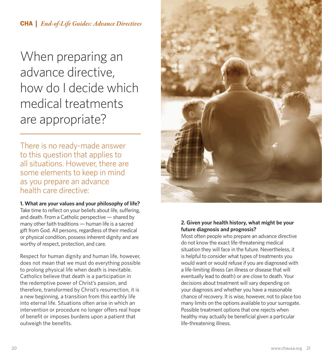When preparing an advance directive, how do I decide which medical treatments are appropriate?

There is no ready-made answer to this question that applies to all situations. However, there are some elements to keep in mind as you prepare an advance health care directive:

**1. What are your values and your philosophy of life?**  Take time to reflect on your beliefs about life, suffering, and death. From a Catholic perspective — shared by many other faith traditions — human life is a sacred gift from God. All persons, regardless of their medical or physical condition, possess inherent dignity and are worthy of respect, protection, and care.

Respect for human dignity and human life, however, does not mean that we must do everything possible to prolong physical life when death is inevitable. Catholics believe that death is a participation in the redemptive power of Christ's passion, and therefore, transformed by Christ's resurrection, it is a new beginning, a transition from this earthly life into eternal life. Situations often arise in which an intervention or procedure no longer offers real hope of benefit or imposes burdens upon a patient that outweigh the benefits.



### **2. Given your health history, what might be your future diagnosis and prognosis?**

Most often people who prepare an advance directive do not know the exact life-threatening medical situation they will face in the future. Nevertheless, it is helpful to consider what types of treatments you would want or would refuse if you are diagnosed with a life-limiting illness (an illness or disease that will eventually lead to death) or are close to death. Your decisions about treatment will vary depending on your diagnosis and whether you have a reasonable chance of recovery. It is wise, however, not to place too many limits on the options available to your surrogate. Possible treatment options that one rejects when healthy may actually be beneficial given a particular life-threatening illness.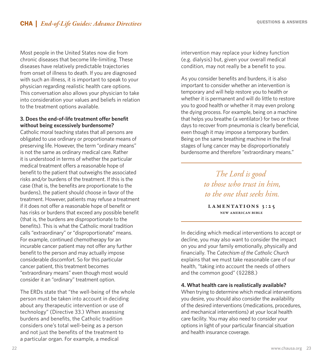Most people in the United States now die from chronic diseases that become life-limiting. These diseases have relatively predictable trajectories from onset of illness to death. If you are diagnosed with such an illness, it is important to speak to your physician regarding realistic health care options. This conversation also allows your physician to take into consideration your values and beliefs in relation to the treatment options available.

### **3. Does the end-of-life treatment offer benefit without being excessively burdensome?**

Catholic moral teaching states that all persons are obligated to use ordinary or proportionate means of preserving life. However, the term "ordinary means" is not the same as ordinary medical care. Rather it is understood in terms of whether the particular medical treatment offers a reasonable hope of benefit to the patient that outweighs the associated risks and/or burdens of the treatment. If this is the case (that is, the benefits are proportionate to the burdens), the patient should choose in favor of the treatment. However, patients may refuse a treatment if it does not offer a reasonable hope of benefit or has risks or burdens that exceed any possible benefit (that is, the burdens are disproportionate to the benefits). This is what the Catholic moral tradition calls "extraordinary" or "disproportionate" means. For example, continued chemotherapy for an incurable cancer patient may not offer any further benefit to the person and may actually impose considerable discomfort. So for this particular cancer patient, this treatment becomes "extraordinary means" even though most would consider it an "ordinary" treatment option.

The ERDs state that "the well-being of the whole person must be taken into account in deciding about any therapeutic intervention or use of technology" (Directive 33.) When assessing burdens and benefits, the Catholic tradition considers one's total well-being as a person and not just the benefits of the treatment to a particular organ. For example, a medical

intervention may replace your kidney function (e.g. dialysis) but, given your overall medical condition, may not really be a benefit to you.

As you consider benefits and burdens, it is also important to consider whether an intervention is temporary and will help restore you to health or whether it is permanent and will do little to restore you to good health or whether it may even prolong the dying process. For example, being on a machine that helps you breathe (a ventilator) for two or three days to recover from pneumonia is clearly beneficial, even though it may impose a temporary burden. Being on the same breathing machine in the final stages of lung cancer may be disproportionately burdensome and therefore "extraordinary means."

> *The Lord is good to those who trust in him, to the one that seeks him.*

LAMENTATIONS 3:25 New American Bible

In deciding which medical interventions to accept or decline, you may also want to consider the impact on you and your family emotionally, physically and financially. The *Catechism of the Catholic Church* explains that we must take reasonable care of our health, "taking into account the needs of others and the common good" (§2288.)

### **4. What health care is realistically available?**

When trying to determine which medical interventions you desire, you should also consider the availability of the desired interventions (medications, procedures, and mechanical interventions) at your local health care facility. You may also need to consider your options in light of your particular financial situation and health insurance coverage.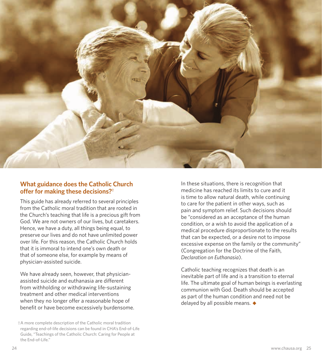

### **What guidance does the Catholic Church offer for making these decisions?†**

This guide has already referred to several principles from the Catholic moral tradition that are rooted in the Church's teaching that life is a precious gift from God. We are not owners of our lives, but caretakers. Hence, we have a duty, all things being equal, to preserve our lives and do not have unlimited power over life. For this reason, the Catholic Church holds that it is immoral to intend one's own death or that of someone else, for example by means of physician-assisted suicide.

We have already seen, however, that physicianassisted suicide and euthanasia are different from withholding or withdrawing life-sustaining treatment and other medical interventions when they no longer offer a reasonable hope of benefit or have become excessively burdensome. In these situations, there is recognition that medicine has reached its limits to cure and it is time to allow natural death, while continuing to care for the patient in other ways, such as pain and symptom relief. Such decisions should be "considered as an acceptance of the human condition, or a wish to avoid the application of a medical procedure disproportionate to the results that can be expected, or a desire not to impose excessive expense on the family or the community" (Congregation for the Doctrine of the Faith, *Declaration on Euthanasia*).

Catholic teaching recognizes that death is an inevitable part of life and is a transition to eternal life. The ultimate goal of human beings is everlasting communion with God. Death should be accepted as part of the human condition and need not be delayed by all possible means. *◆*

<sup>†</sup>A more complete description of the Catholic moral tradition regarding end-of-life decisions can be found in CHA's End-of-Life Guide, "Teachings of the Catholic Church: Caring for People at the End-of-Life."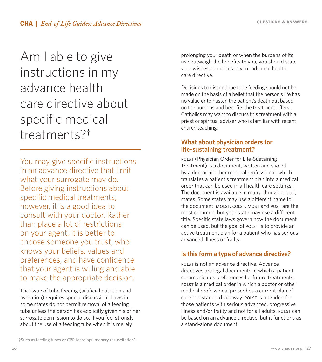Am I able to give instructions in my advance health care directive about specific medical treatments?†

You may give specific instructions in an advance directive that limit what your surrogate may do. Before giving instructions about specific medical treatments, however, it is a good idea to consult with your doctor. Rather than place a lot of restrictions on your agent, it is better to choose someone you trust, who knows your beliefs, values and preferences, and have confidence that your agent is willing and able to make the appropriate decision.

The issue of tube feeding (artificial nutrition and hydration) requires special discussion. Laws in some states do not permit removal of a feeding tube unless the person has explicitly given his or her surrogate permission to do so. If you feel strongly about the use of a feeding tube when it is merely

prolonging your death or when the burdens of its use outweigh the benefits to you, you should state your wishes about this in your advance health care directive.

Decisions to discontinue tube feeding should not be made on the basis of a belief that the person's life has no value or to hasten the patient's death but based on the burdens and benefits the treatment offers. Catholics may want to discuss this treatment with a priest or spiritual adviser who is familiar with recent church teaching.

### **What about physician orders for life-sustaining treatment?**

POLST (Physician Order for Life-Sustaining Treatment) is a document, written and signed by a doctor or other medical professional, which translates a patient's treatment plan into a medical order that can be used in all health care settings. The document is available in many, though not all, states. Some states may use a different name for the document. MOLST, COLST, MOST and POST are the most common, but your state may use a different title. Specific state laws govern how the document can be used, but the goal of POLST is to provide an active treatment plan for a patient who has serious advanced illness or frailty.

### **Is this form a type of advance directive?**

POLST is not an advance directive. Advance directives are legal documents in which a patient communicates preferences for future treatments. POLST is a medical order in which a doctor or other medical professional prescribes a current plan of care in a standardized way. POLST is intended for those patients with serious advanced, progressive illness and/or frailty and not for all adults. POLST can be based on an advance directive, but it functions as a stand-alone document.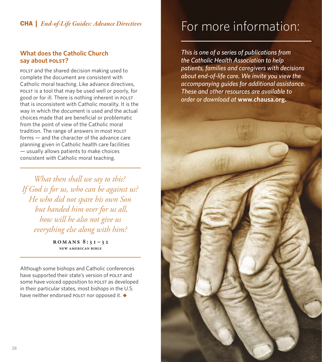### **What does the Catholic Church say about POLST?**

POLST and the shared decision making used to complete the document are consistent with Catholic moral teaching. Like advance directives, POLST is a tool that may be used well or poorly, for good or for ill. There is nothing inherent in POLST that is inconsistent with Catholic morality. It is the way in which the document is used and the actual choices made that are beneficial or problematic from the point of view of the Catholic moral tradition. The range of answers in most POLST forms — and the character of the advance care planning given in Catholic health care facilities — usually allows patients to make choices consistent with Catholic moral teaching.

*What then shall we say to this? If God is for us, who can be against us? He who did not spare his own Son but handed him over for us all, how will he also not give us everything else along with him?*

> ROMANS  $8:31-32$ New American Bible

Although some bishops and Catholic conferences have supported their state's version of POLST and some have voiced opposition to POLST as developed in their particular states, most bishops in the U.S. have neither endorsed POLST nor opposed it. *◆*

### **CHA** | *End-of-Life Guides: Advance Directives* For more information:

*This is one of a series of publications from the Catholic Health Association to help patients, families and caregivers with decisions about end-of-life care. We invite you view the accompanying guides for additional assistance. These and other resources are available to order or download at* **www.chausa.org.**